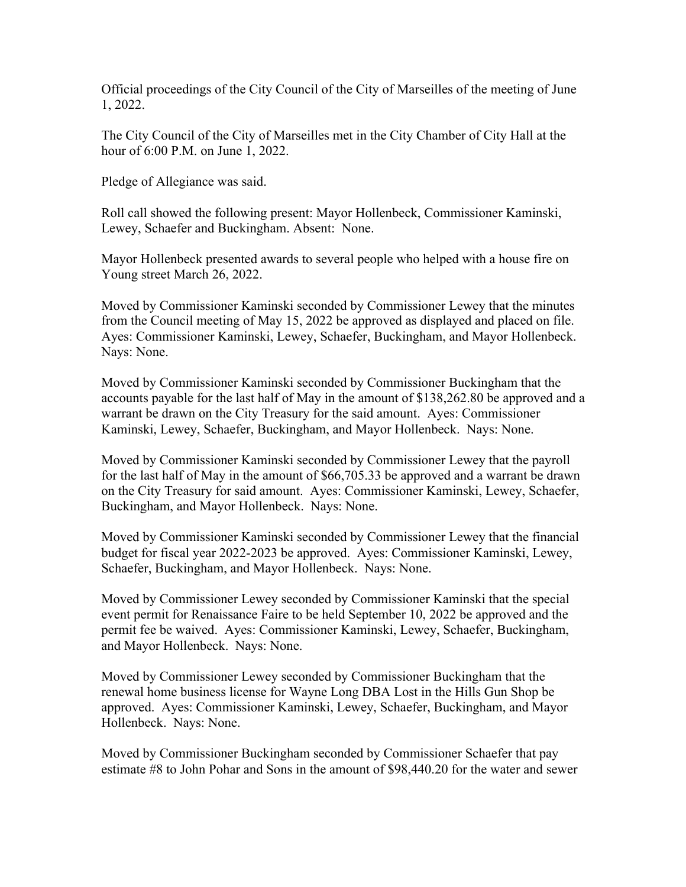Official proceedings of the City Council of the City of Marseilles of the meeting of June 1, 2022.

The City Council of the City of Marseilles met in the City Chamber of City Hall at the hour of 6:00 P.M. on June 1, 2022.

Pledge of Allegiance was said.

Roll call showed the following present: Mayor Hollenbeck, Commissioner Kaminski, Lewey, Schaefer and Buckingham. Absent: None.

Mayor Hollenbeck presented awards to several people who helped with a house fire on Young street March 26, 2022.

Moved by Commissioner Kaminski seconded by Commissioner Lewey that the minutes from the Council meeting of May 15, 2022 be approved as displayed and placed on file. Ayes: Commissioner Kaminski, Lewey, Schaefer, Buckingham, and Mayor Hollenbeck. Nays: None.

Moved by Commissioner Kaminski seconded by Commissioner Buckingham that the accounts payable for the last half of May in the amount of \$138,262.80 be approved and a warrant be drawn on the City Treasury for the said amount. Ayes: Commissioner Kaminski, Lewey, Schaefer, Buckingham, and Mayor Hollenbeck. Nays: None.

Moved by Commissioner Kaminski seconded by Commissioner Lewey that the payroll for the last half of May in the amount of \$66,705.33 be approved and a warrant be drawn on the City Treasury for said amount. Ayes: Commissioner Kaminski, Lewey, Schaefer, Buckingham, and Mayor Hollenbeck. Nays: None.

Moved by Commissioner Kaminski seconded by Commissioner Lewey that the financial budget for fiscal year 2022-2023 be approved. Ayes: Commissioner Kaminski, Lewey, Schaefer, Buckingham, and Mayor Hollenbeck. Nays: None.

Moved by Commissioner Lewey seconded by Commissioner Kaminski that the special event permit for Renaissance Faire to be held September 10, 2022 be approved and the permit fee be waived. Ayes: Commissioner Kaminski, Lewey, Schaefer, Buckingham, and Mayor Hollenbeck. Nays: None.

Moved by Commissioner Lewey seconded by Commissioner Buckingham that the renewal home business license for Wayne Long DBA Lost in the Hills Gun Shop be approved. Ayes: Commissioner Kaminski, Lewey, Schaefer, Buckingham, and Mayor Hollenbeck. Nays: None.

Moved by Commissioner Buckingham seconded by Commissioner Schaefer that pay estimate #8 to John Pohar and Sons in the amount of \$98,440.20 for the water and sewer